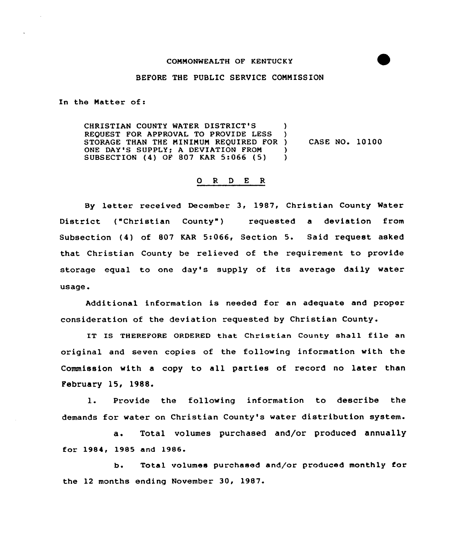## COMMONWEALTH OF KENTUCKY

## BEFORE THE PUBLIC SERVICE CONN ISSION

In the Hatter of:

CHRISTIAN COUNTY WATER DISTRICT ' ) REQUEST FOR APPROVAL TO PROVIDE LESS ) STORAGE THAN THE MINIMUM REQUIRED FOR )<br>ONE DAY'S SUPPLY: A DEVIATION FROM ) ONE DAY'S SUPPLY; A DEVIATION FROM )<br>SUBSECTION (4) OF 807 KAR 5:066 (5) ) SUBSECTION (4) OF 807 KAR 5:066 (5) CASE NO. 10100

## 0 <sup>R</sup> <sup>D</sup> E R

By letter received December 3, 1987, Christian County Water District ("Christian County") requested a deviation from Subsection (4) of 807 KAR 5:066, Section 5. Said request asked that Christian County be relieved of the requirement to provide storage equal to one day's supply of its average daily water usage.

Additional information is needed for an adequate and proper consideration of the deviation requested by Christian County.

IT IS THEREFORE ORDERED that Christian County shall file an original and seven copies of the following information with the Commission with a copy to all parties of record no later than February 15, 1988.

1. Provide the following information to describe the demands for water on Christian County's water distribution system.

a. Total volumes purchased and/or produced annually for 1984, 1985 and 1986

b. Total volumes purchased and/or produced monthly for the 12 months ending November 30, 1987.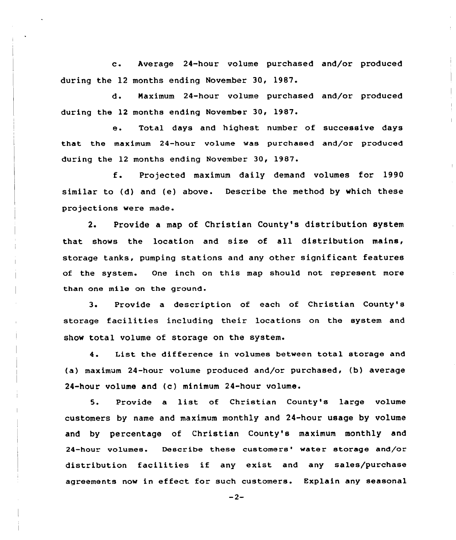c. Average 24-hour volume purchased and/or produced during the 12 months ending November 30, 1987.

d. Naximum 24-hour volume purchased and/or produced during the 12 months ending November 30, 1987.

e. Total days and highest number of successive days that the maximum 24-hour volume was purchased and/or produced during the 12 months ending November 30, 1987.

f. Projected maximum daily demand volumes for <sup>1990</sup> similar to (d) and (e) above. Describe the method by which these projections were made.

2. Provide a map of Christian County's distribution system that shows the location and size of all distribution mains, storage tanks, pumping stations and any other significant features of the system. One inch on this map should not represent more than one mile on the ground.

3. Provide a description of each of Christian County's storage facilities including their locations on the system and show total volume of storage on the system.

4. List the difference in volumes between total storage and (a) maximum 24-hour volume produced and/or purchased, (b) average 24-hour volume and (c) minimum 24-hour volume.

5. Provide <sup>a</sup> list of Christian County's large volume customers by name and maximum monthly and 24-hour usage by volume and by percentage of Christian County's maximum monthly and 24-hour volumes. Describe these customers' water storage and/or distribution facilities if any exist and any sales/purchase agreements now in effect for such customers. Explain any seasonal

 $-2-$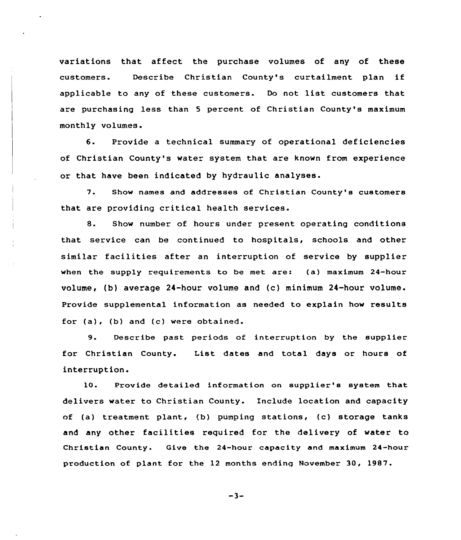variations that affect the purchase volumes of any of these customers. Describe Christian County's curtailment plan if applicable to any of these customers. Do not list customers that are purchasing less than <sup>5</sup> percent of Christian County's maximum monthly volumes.

6. Provide a technical summary of operational deficiencies of Christian County's water system that are known from experience or that have been indicated by hydraulic analyses.

7. Show names and addresses of Christian County's customers that are providing critical health services.

8. Show number of hours under present operating conditions that service can be continued to hospitals, schools and other similar facilities after an interruption of service by supplier when the supply requirements to be met are: (a) maximum 24-hour volume, {b) average 24-hour volume and {c) minimum 24-hour volume. Provide supplemental information as needed to explain how results for (a), (b) and (c) were obtained.

9. Describe past periods of interruption by the supplier for Christian County. List dates and total days or hours of interruption.

10. Provide detailed information on supplier's system that delivers water to Christian County. Include location and capacity of (a) treatment plant, (b) pumping stations, (c) storage tanks and any other facilities required for the delivery of water to Christian County. Give the 24-hour capacity and maximum 24-hour production of plant for the 12 months ending November 30, 1987.

$$
-3 -
$$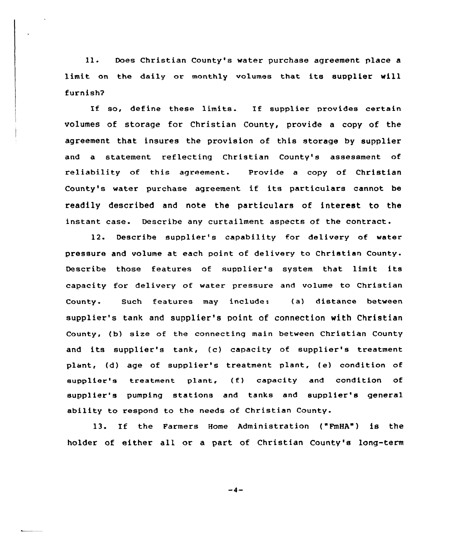11. Does Christian County's water purchase agreement place a limit on the daily or monthly volumes that its supplier will furnish?

If so, define these limits. If supplier provides certain volumes of storage for Christian County, provide a copy of the agreement that insures the provision of this storage by supplier and a statement reflecting Christian County's assessment of reliability of this agreement. Provide a copy of Christian County's water purchase agreement if its particulars cannot be readily described and note the particulars of interest to the instant case. Describe any curtailment aspects of the contract.

12. Describe supplier's capability for delivery of water pressure and volume at each point of delivery to Christian County. Describe those features of supplier's system that limit its capacity for delivery of water pressure and volume to Christian County. Such features may include: (a) distance between supplier's tank and supplier's point of connection with Christian County, (b) size of the connecting main between Christian County and its supplier's tank, (c) capacity of supplier's treatment plant, (d) age of supplier's treatment plant, (e) condition of supplier's treatment plant, (f) capacity and condition of supplier's pumping stations and tanks and supplier's general ability to respond to the needs of Christian County.

13. If the Farmers Home Administration ("FmHA") is the holder of either all or a part of Christian County's long-term

 $-4-$